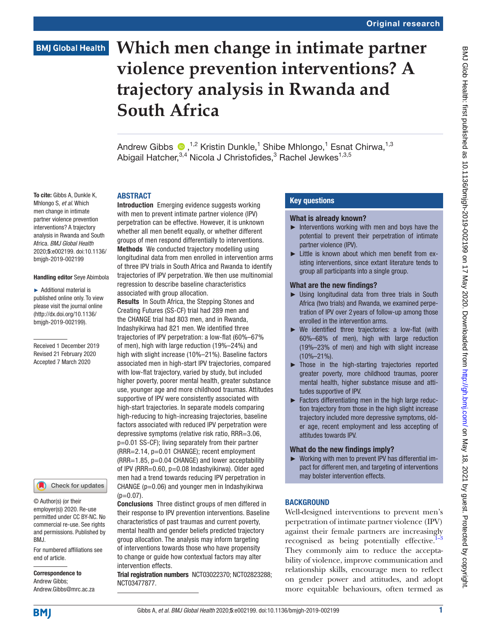# **Which men change in intimate partner violence prevention interventions? A trajectory analysis in Rwanda and South Africa**

AndrewGibbs  $\bigcirc$ , <sup>1,2</sup> Kristin Dunkle,<sup>1</sup> Shibe Mhlongo,<sup>1</sup> Esnat Chirwa,<sup>1,3</sup> Abigail Hatcher, 3,4 Nicola J Christofides, 3 Rachel Jewkes 1,3,5

# **ARSTRACT**

To cite: Gibbs A, Dunkle K, Mhlongo S, *et al*. Which men change in intimate partner violence prevention interventions? A trajectory analysis in Rwanda and South Africa. *BMJ Global Health* 2020;5:e002199. doi:10.1136/ bmjgh-2019-002199

#### Handling editor Seye Abimbola

► Additional material is published online only. To view please visit the journal online ([http://dx.doi.org/10.1136/](http://dx.doi.org/10.1136/bmjgh-2019-002199) [bmjgh-2019-002199\)](http://dx.doi.org/10.1136/bmjgh-2019-002199).

Received 1 December 2019 Revised 21 February 2020 Accepted 7 March 2020



© Author(s) (or their employer(s)) 2020. Re-use permitted under CC BY-NC. No commercial re-use. See rights and permissions. Published by BMJ.

For numbered affiliations see end of article.

Correspondence to Andrew Gibbs; Andrew.Gibbs@mrc.ac.za Introduction Emerging evidence suggests working with men to prevent intimate partner violence (IPV) perpetration can be effective. However, it is unknown whether all men benefit equally, or whether different groups of men respond differentially to interventions. Methods We conducted trajectory modelling using longitudinal data from men enrolled in intervention arms of three IPV trials in South Africa and Rwanda to identify trajectories of IPV perpetration. We then use multinomial regression to describe baseline characteristics associated with group allocation.

Results In South Africa, the Stepping Stones and Creating Futures (SS-CF) trial had 289 men and the CHANGE trial had 803 men, and in Rwanda, Indashyikirwa had 821 men. We identified three trajectories of IPV perpetration: a low-flat (60%–67% of men), high with large reduction (19%–24%) and high with slight increase (10%–21%). Baseline factors associated men in high-start IPV trajectories, compared with low-flat trajectory, varied by study, but included higher poverty, poorer mental health, greater substance use, younger age and more childhood traumas. Attitudes supportive of IPV were consistently associated with high-start trajectories. In separate models comparing high-reducing to high-increasing trajectories, baseline factors associated with reduced IPV perpetration were depressive symptoms (relative risk ratio, RRR=3.06, p=0.01 SS-CF); living separately from their partner (RRR=2.14, p=0.01 CHANGE); recent employment (RRR=1.85, p=0.04 CHANGE) and lower acceptability of IPV (RRR=0.60, p=0.08 Indashyikirwa). Older aged men had a trend towards reducing IPV perpetration in CHANGE ( $p=0.06$ ) and younger men in Indashyikirwa  $(p=0.07)$ .

Conclusions Three distinct groups of men differed in their response to IPV prevention interventions. Baseline characteristics of past traumas and current poverty, mental health and gender beliefs predicted trajectory group allocation. The analysis may inform targeting of interventions towards those who have propensity to change or guide how contextual factors may alter intervention effects.

Trial registration numbers [NCT03022370;](NCT03022370) [NCT02823288;](NCT02823288) <NCT03477877>.

# Key questions

#### What is already known?

- $\blacktriangleright$  Interventions working with men and boys have the potential to prevent their perpetration of intimate partner violence (IPV).
- Little is known about which men benefit from existing interventions, since extant literature tends to group all participants into a single group.

# What are the new findings?

- ► Using longitudinal data from three trials in South Africa (two trials) and Rwanda, we examined perpetration of IPV over 2 years of follow-up among those enrolled in the intervention arms.
- ► We identified three trajectories: a low-flat (with 60%–68% of men), high with large reduction (19%–23% of men) and high with slight increase (10%–21%).
- ► Those in the high-starting trajectories reported greater poverty, more childhood traumas, poorer mental health, higher substance misuse and attitudes supportive of IPV.
- ► Factors differentiating men in the high large reduction trajectory from those in the high slight increase trajectory included more depressive symptoms, older age, recent employment and less accepting of attitudes towards IPV.

# What do the new findings imply?

► Working with men to prevent IPV has differential impact for different men, and targeting of interventions may bolster intervention effects.

# **BACKGROUND**

Well-designed interventions to prevent men's perpetration of intimate partner violence (IPV) against their female partners are increasingly recognised as being potentially effective. $1-3$ They commonly aim to reduce the acceptability of violence, improve communication and relationship skills, encourage men to reflect on gender power and attitudes, and adopt more equitable behaviours, often termed as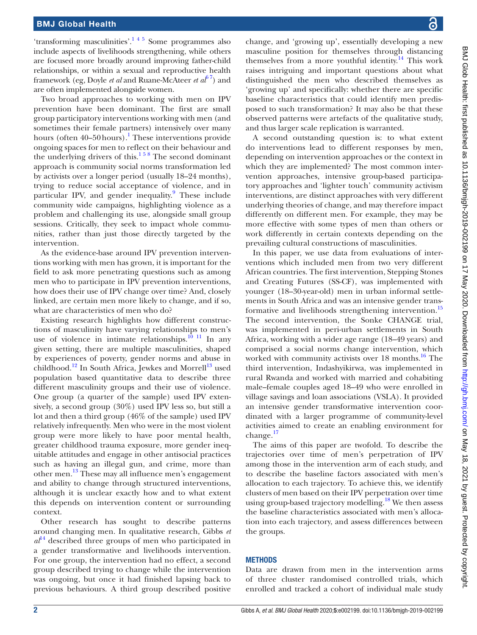'transforming masculinities'[.1 4 5](#page-12-0) Some programmes also include aspects of livelihoods strengthening, while others are focused more broadly around improving father-child relationships, or within a sexual and reproductive health framework (eg, Doyle *et al* and Ruane-McAteer *et al*[6 7](#page-12-1)) and are often implemented alongside women.

Two broad approaches to working with men on IPV prevention have been dominant. The first are small group participatory interventions working with men (and sometimes their female partners) intensively over many hours (often 40–50 hours).<sup>1</sup> These interventions provide ongoing spaces for men to reflect on their behaviour and the underlying drivers of this. $158$  The second dominant approach is community social norms transformation led by activists over a longer period (usually 18–24 months), trying to reduce social acceptance of violence, and in particular IPV, and gender inequality.<sup>[9](#page-13-0)</sup> These include community wide campaigns, highlighting violence as a problem and challenging its use, alongside small group sessions. Critically, they seek to impact whole communities, rather than just those directly targeted by the intervention.

As the evidence-base around IPV prevention interventions working with men has grown, it is important for the field to ask more penetrating questions such as among men who to participate in IPV prevention interventions, how does their use of IPV change over time? And, closely linked, are certain men more likely to change, and if so, what are characteristics of men who do?

Existing research highlights how different constructions of masculinity have varying relationships to men's use of violence in intimate relationships. $10^{-11}$  In any given setting, there are multiple masculinities, shaped by experiences of poverty, gender norms and abuse in childhood.<sup>[12](#page-13-2)</sup> In South Africa, Jewkes and Morrell<sup>13</sup> used population based quantitative data to describe three different masculinity groups and their use of violence. One group (a quarter of the sample) used IPV extensively, a second group (30%) used IPV less so, but still a lot and then a third group (46% of the sample) used IPV relatively infrequently. Men who were in the most violent group were more likely to have poor mental health, greater childhood trauma exposure, more gender inequitable attitudes and engage in other antisocial practices such as having an illegal gun, and crime, more than other men.[13](#page-13-3) These may all influence men's engagement and ability to change through structured interventions, although it is unclear exactly how and to what extent this depends on intervention content or surrounding context.

Other research has sought to describe patterns around changing men. In qualitative research, Gibbs *et*   $a^{14}$  $a^{14}$  $a^{14}$  described three groups of men who participated in a gender transformative and livelihoods intervention. For one group, the intervention had no effect, a second group described trying to change while the intervention was ongoing, but once it had finished lapsing back to previous behaviours. A third group described positive

change, and 'growing up', essentially developing a new masculine position for themselves through distancing themselves from a more youthful identity.<sup>[14](#page-13-4)</sup> This work raises intriguing and important questions about what distinguished the men who described themselves as 'growing up' and specifically: whether there are specific baseline characteristics that could identify men predisposed to such transformation? It may also be that these observed patterns were artefacts of the qualitative study, and thus larger scale replication is warranted.

A second outstanding question is: to what extent do interventions lead to different responses by men, depending on intervention approaches or the context in which they are implemented? The most common intervention approaches, intensive group-based participatory approaches and 'lighter touch' community activism interventions, are distinct approaches with very different underlying theories of change, and may therefore impact differently on different men. For example, they may be more effective with some types of men than others or work differently in certain contexts depending on the prevailing cultural constructions of masculinities.

In this paper, we use data from evaluations of interventions which included men from two very different African countries. The first intervention, Stepping Stones and Creating Futures (SS-CF), was implemented with younger (18–30-year-old) men in urban informal settlements in South Africa and was an intensive gender trans-formative and livelihoods strengthening intervention.<sup>[15](#page-13-5)</sup> The second intervention, the Sonke CHANGE trial, was implemented in peri-urban settlements in South Africa, working with a wider age range (18–49 years) and comprised a social norms change intervention, which worked with community activists over 18 months.<sup>16</sup> The third intervention, Indashyikirwa, was implemented in rural Rwanda and worked with married and cohabiting male–female couples aged 18–49 who were enrolled in village savings and loan associations (VSLA). It provided an intensive gender transformative intervention coordinated with a larger programme of community-level activities aimed to create an enabling environment for change.[17](#page-13-7)

The aims of this paper are twofold. To describe the trajectories over time of men's perpetration of IPV among those in the intervention arm of each study, and to describe the baseline factors associated with men's allocation to each trajectory. To achieve this, we identify clusters of men based on their IPV perpetration over time using group-based trajectory modelling.<sup>[18](#page-13-8)</sup> We then assess the baseline characteristics associated with men's allocation into each trajectory, and assess differences between the groups.

# **METHODS**

Data are drawn from men in the intervention arms of three cluster randomised controlled trials, which enrolled and tracked a cohort of individual male study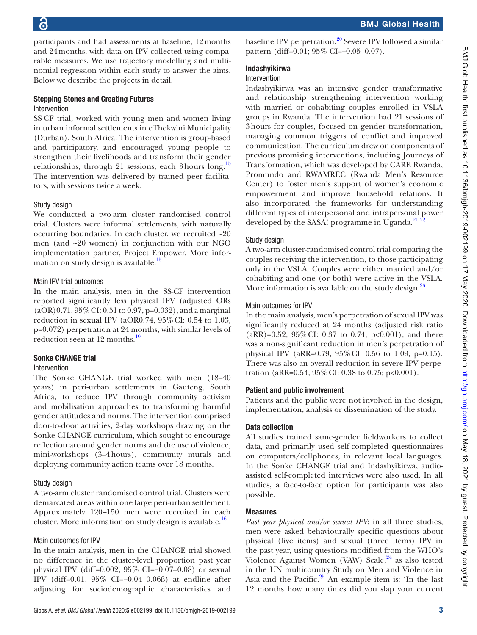participants and had assessments at baseline, 12months and 24months, with data on IPV collected using comparable measures. We use trajectory modelling and multinomial regression within each study to answer the aims. Below we describe the projects in detail.

# Stepping Stones and Creating Futures Intervention

SS-CF trial, worked with young men and women living in urban informal settlements in eThekwini Municipality (Durban), South Africa. The intervention is group-based and participatory, and encouraged young people to strengthen their livelihoods and transform their gender relationships, through 21 sessions, each 3hours long.[15](#page-13-5) The intervention was delivered by trained peer facilitators, with sessions twice a week.

# Study design

We conducted a two-arm cluster randomised control trial. Clusters were informal settlements, with naturally occurring boundaries. In each cluster, we recruited ~20 men (and ~20 women) in conjunction with our NGO implementation partner, Project Empower. More infor-mation on study design is available.<sup>[15](#page-13-5)</sup>

# Main IPV trial outcomes

In the main analysis, men in the SS-CF intervention reported significantly less physical IPV (adjusted ORs  $(aOR)0.71, 95\% \text{ CI: } 0.51 \text{ to } 0.97, p=0.032$ , and a marginal reduction in sexual IPV (aOR0.74, 95%CI: 0.54 to 1.03, p=0.072) perpetration at 24 months, with similar levels of reduction seen at  $12$  months.<sup>[19](#page-13-9)</sup>

# Sonke CHANGE trial

# Intervention

The Sonke CHANGE trial worked with men (18–40 years) in peri-urban settlements in Gauteng, South Africa, to reduce IPV through community activism and mobilisation approaches to transforming harmful gender attitudes and norms. The intervention comprised door-to-door activities, 2-day workshops drawing on the Sonke CHANGE curriculum, which sought to encourage reflection around gender norms and the use of violence, mini-workshops (3–4hours), community murals and deploying community action teams over 18 months.

# Study design

A two-arm cluster randomised control trial. Clusters were demarcated areas within one large peri-urban settlement. Approximately 120–150 men were recruited in each cluster. More information on study design is available.<sup>16</sup>

# Main outcomes for IPV

In the main analysis, men in the CHANGE trial showed no difference in the cluster-level proportion past year physical IPV (diff=0.002, 95% CI=−0.07–0.08) or sexual IPV (diff=0.01, 95% CI=−0.04–0.06ß) at endline after adjusting for sociodemographic characteristics and

# Indashyikirwa

# Intervention

Indashyikirwa was an intensive gender transformative and relationship strengthening intervention working with married or cohabiting couples enrolled in VSLA groups in Rwanda. The intervention had 21 sessions of 3hours for couples, focused on gender transformation, managing common triggers of conflict and improved communication. The curriculum drew on components of previous promising interventions, including Journeys of Transformation, which was developed by CARE Rwanda, Promundo and RWAMREC (Rwanda Men's Resource Center) to foster men's support of women's economic empowerment and improve household relations. It also incorporated the frameworks for understanding different types of interpersonal and intrapersonal power developed by the SASA! programme in Uganda. $^{212}$ 

# Study design

A two-arm cluster-randomised control trial comparing the couples receiving the intervention, to those participating only in the VSLA. Couples were either married and/or cohabiting and one (or both) were active in the VSLA. More information is available on the study design.<sup>23</sup>

# Main outcomes for IPV

In the main analysis, men's perpetration of sexual IPV was significantly reduced at 24 months (adjusted risk ratio  $(aRR)=0.52$ , 95% CI: 0.37 to 0.74, p<0.001), and there was a non-significant reduction in men's perpetration of physical IPV (aRR=0.79, 95%CI: 0.56 to 1.09, p=0.15). There was also an overall reduction in severe IPV perpetration (aRR= $0.54$ ,  $95\%$  CI: 0.38 to 0.75; p<0.001).

# Patient and public involvement

Patients and the public were not involved in the design, implementation, analysis or dissemination of the study.

# Data collection

All studies trained same-gender fieldworkers to collect data, and primarily used self-completed questionnaires on computers/cellphones, in relevant local languages. In the Sonke CHANGE trial and Indashyikirwa, audioassisted self-completed interviews were also used. In all studies, a face-to-face option for participants was also possible.

# Measures

*Past year physical and/or sexual IPV*: in all three studies, men were asked behaviourally specific questions about physical (five items) and sexual (three items) IPV in the past year, using questions modified from the WHO's Violence Against Women (VAW) Scale,<sup>24</sup> as also tested in the UN multicountry Study on Men and Violence in Asia and the Pacific. $25$  An example item is: 'In the last 12 months how many times did you slap your current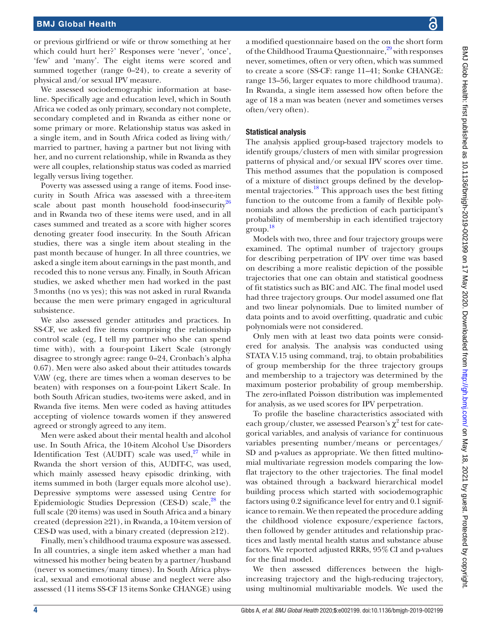or previous girlfriend or wife or throw something at her which could hurt her?' Responses were 'never', 'once', 'few' and 'many'. The eight items were scored and summed together (range 0–24), to create a severity of physical and/or sexual IPV measure.

We assessed sociodemographic information at baseline. Specifically age and education level, which in South Africa we coded as only primary, secondary not complete, secondary completed and in Rwanda as either none or some primary or more. Relationship status was asked in a single item, and in South Africa coded as living with/ married to partner, having a partner but not living with her, and no current relationship, while in Rwanda as they were all couples, relationship status was coded as married legally versus living together.

Poverty was assessed using a range of items. Food insecurity in South Africa was assessed with a three-item scale about past month household food-insecurity<sup>[26](#page-13-15)</sup> and in Rwanda two of these items were used, and in all cases summed and treated as a score with higher scores denoting greater food insecurity. In the South African studies, there was a single item about stealing in the past month because of hunger. In all three countries, we asked a single item about earnings in the past month, and recoded this to none versus any. Finally, in South African studies, we asked whether men had worked in the past 3months (no vs yes); this was not asked in rural Rwanda because the men were primary engaged in agricultural subsistence.

We also assessed gender attitudes and practices. In SS-CF, we asked five items comprising the relationship control scale (eg, I tell my partner who she can spend time with), with a four-point Likert Scale (strongly disagree to strongly agree: range 0–24, Cronbach's alpha 0.67). Men were also asked about their attitudes towards VAW (eg, there are times when a woman deserves to be beaten) with responses on a four-point Likert Scale. In both South African studies, two-items were asked, and in Rwanda five items. Men were coded as having attitudes accepting of violence towards women if they answered agreed or strongly agreed to any item.

Men were asked about their mental health and alcohol use. In South Africa, the 10-item Alcohol Use Disorders Identification Test (AUDIT) scale was used, $27$  while in Rwanda the short version of this, AUDIT-C, was used, which mainly assessed heavy episodic drinking, with items summed in both (larger equals more alcohol use). Depressive symptoms were assessed using Centre for Epidemiologic Studies Depression (CES-D) scale, $^{28}$  the full scale (20 items) was used in South Africa and a binary created (depression ≥21), in Rwanda, a 10-item version of CES-D was used, with a binary created (depression ≥12).

Finally, men's childhood trauma exposure was assessed. In all countries, a single item asked whether a man had witnessed his mother being beaten by a partner/husband (never vs sometimes/many times). In South Africa physical, sexual and emotional abuse and neglect were also assessed (11 items SS-CF 13 items Sonke CHANGE) using

a modified questionnaire based on the on the short form of the Childhood Trauma Questionnaire,<sup>29</sup> with responses never, sometimes, often or very often, which was summed to create a score (SS-CF: range 11–41; Sonke CHANGE: range 13–56, larger equates to more childhood trauma). In Rwanda, a single item assessed how often before the age of 18 a man was beaten (never and sometimes verses often/very often).

# Statistical analysis

The analysis applied group-based trajectory models to identify groups/clusters of men with similar progression patterns of physical and/or sexual IPV scores over time. This method assumes that the population is composed of a mixture of distinct groups defined by the develop-mental trajectories.<sup>[18](#page-13-8)</sup> This approach uses the best fitting function to the outcome from a family of flexible polynomials and allows the prediction of each participant's probability of membership in each identified trajectory group. [18](#page-13-8)

Models with two, three and four trajectory groups were examined. The optimal number of trajectory groups for describing perpetration of IPV over time was based on describing a more realistic depiction of the possible trajectories that one can obtain and statistical goodness of fit statistics such as BIC and AIC. The final model used had three trajectory groups. Our model assumed one flat and two linear polynomials. Due to limited number of data points and to avoid overfitting, quadratic and cubic polynomials were not considered.

Only men with at least two data points were considered for analysis. The analysis was conducted using STATA V.15 using command, traj, to obtain probabilities of group membership for the three trajectory groups and membership to a trajectory was determined by the maximum posterior probability of group membership. The zero-inflated Poisson distribution was implemented for analysis, as we used scores for IPV perpetration.

To profile the baseline characteristics associated with each group/cluster, we assessed Pearson's  $\chi^2$  test for categorical variables, and analysis of variance for continuous variables presenting number/means or percentages/ SD and p-values as appropriate. We then fitted multinomial multivariate regression models comparing the lowflat trajectory to the other trajectories. The final model was obtained through a backward hierarchical model building process which started with sociodemographic factors using 0.2 significance level for entry and 0.1 significance to remain. We then repeated the procedure adding the childhood violence exposure/experience factors, then followed by gender attitudes and relationship practices and lastly mental health status and substance abuse factors. We reported adjusted RRRs, 95%CI and p-values for the final model.

We then assessed differences between the highincreasing trajectory and the high-reducing trajectory, using multinomial multivariable models. We used the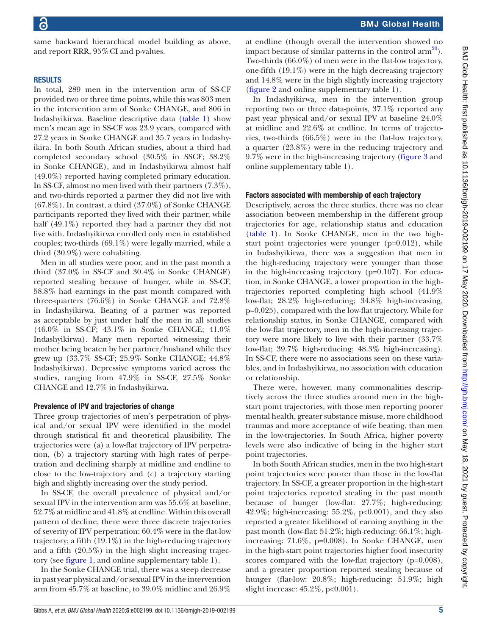same backward hierarchical model building as above, and report RRR, 95%CI and p-values.

#### **RESULTS**

In total, 289 men in the intervention arm of SS-CF provided two or three time points, while this was 803 men in the intervention arm of Sonke CHANGE, and 806 in Indashyikirwa. Baseline descriptive data ([table](#page-5-0) 1) show men's mean age in SS-CF was 23.9 years, compared with 27.2 years in Sonke CHANGE and 35.7 years in Indashyikira. In both South African studies, about a third had completed secondary school (30.5% in SSCF; 38.2% in Sonke CHANGE), and in Indashyikirwa almost half (49.0%) reported having completed primary education. In SS-CF, almost no men lived with their partners (7.3%), and two-thirds reported a partner they did not live with  $(67.8\%)$ . In contrast, a third  $(37.0\%)$  of Sonke CHANGE participants reported they lived with their partner, while half (49.1%) reported they had a partner they did not live with. Indashyikirwa enrolled only men in established couples; two-thirds (69.1%) were legally married, while a third (30.9%) were cohabiting.

Men in all studies were poor, and in the past month a third (37.0% in SS-CF and 30.4% in Sonke CHANGE) reported stealing because of hunger, while in SS-CF, 58.8% had earnings in the past month compared with three-quarters (76.6%) in Sonke CHANGE and 72.8% in Indashyikirwa. Beating of a partner was reported as acceptable by just under half the men in all studies (46.0% in SS-CF; 43.1% in Sonke CHANGE; 41.0% Indashyikirwa). Many men reported witnessing their mother being beaten by her partner/husband while they grew up (33.7% SS-CF; 25.9% Sonke CHANGE; 44.8% Indashyikirwa). Depressive symptoms varied across the studies, ranging from 47.9% in SS-CF, 27.5% Sonke CHANGE and 12.7% in Indashyikirwa.

#### Prevalence of IPV and trajectories of change

Three group trajectories of men's perpetration of physical and/or sexual IPV were identified in the model through statistical fit and theoretical plausibility. The trajectories were (a) a low-flat trajectory of IPV perpetration, (b) a trajectory starting with high rates of perpetration and declining sharply at midline and endline to close to the low-trajectory and (c) a trajectory starting high and slightly increasing over the study period.

In SS-CF, the overall prevalence of physical and/or sexual IPV in the intervention arm was 55.6% at baseline, 52.7% at midline and 41.8% at endline. Within this overall pattern of decline, there were three discrete trajectories of severity of IPV perpetration: 60.4% were in the flat-low trajectory; a fifth (19.1%) in the high-reducing trajectory and a fifth (20.5%) in the high slight increasing trajectory (see [figure](#page-7-0) 1, and [online supplementary table 1\)](https://dx.doi.org/10.1136/bmjgh-2019-002199).

In the Sonke CHANGE trial, there was a steep decrease in past year physical and/or sexual IPV in the intervention arm from 45.7% at baseline, to 39.0% midline and 26.9%

at endline (though overall the intervention showed no impact because of similar patterns in the control  $arm^{20}$ ). Two-thirds (66.0%) of men were in the flat-low trajectory, one-fifth (19.1%) were in the high decreasing trajectory and 14.8% were in the high slightly increasing trajectory [\(figure](#page-7-1) 2 and [online supplementary table 1](https://dx.doi.org/10.1136/bmjgh-2019-002199)).

In Indashyikirwa, men in the intervention group reporting two or three data-points, 37.1% reported any past year physical and/or sexual IPV at baseline 24.0% at midline and 22.6% at endline. In terms of trajectories, two-thirds (66.5%) were in the flat-low trajectory, a quarter (23.8%) were in the reducing trajectory and 9.7% were in the high-increasing trajectory [\(figure](#page-7-2) 3 and [online supplementary table 1](https://dx.doi.org/10.1136/bmjgh-2019-002199)).

#### Factors associated with membership of each trajectory

Descriptively, across the three studies, there was no clear association between membership in the different group trajectories for age, relationship status and education [\(table](#page-5-0) 1). In Sonke CHANGE, men in the two highstart point trajectories were younger (p=0.012), while in Indashyikirwa, there was a suggestion that men in the high-reducing trajectory were younger than those in the high-increasing trajectory (p=0.107). For education, in Sonke CHANGE, a lower proportion in the hightrajectories reported completing high school (41.9% low-flat; 28.2% high-reducing; 34.8% high-increasing, p=0.025), compared with the low-flat trajectory. While for relationship status, in Sonke CHANGE, compared with the low-flat trajectory, men in the high-increasing trajectory were more likely to live with their partner (33.7% low-flat; 39.7% high-reducing; 48.3% high-increasing). In SS-CF, there were no associations seen on these variables, and in Indashyikirwa, no association with education or relationship.

There were, however, many commonalities descriptively across the three studies around men in the highstart point trajectories, with those men reporting poorer mental health, greater substance misuse, more childhood traumas and more acceptance of wife beating, than men in the low-trajectories. In South Africa, higher poverty levels were also indicative of being in the higher start point trajectories.

In both South African studies, men in the two high-start point trajectories were poorer than those in the low-flat trajectory. In SS-CF, a greater proportion in the high-start point trajectories reported stealing in the past month because of hunger (low-flat: 27.7%; high-reducing: 42.9%; high-increasing: 55.2%, p<0.001), and they also reported a greater likelihood of earning anything in the past month (low-flat: 51.2%; high-reducing: 66.1%; highincreasing: 71.6%, p=0.008). In Sonke CHANGE, men in the high-start point trajectories higher food insecurity scores compared with the low-flat trajectory (p=0.008), and a greater proportion reported stealing because of hunger (flat-low: 20.8%; high-reducing: 51.9%; high slight increase: 45.2%, p<0.001).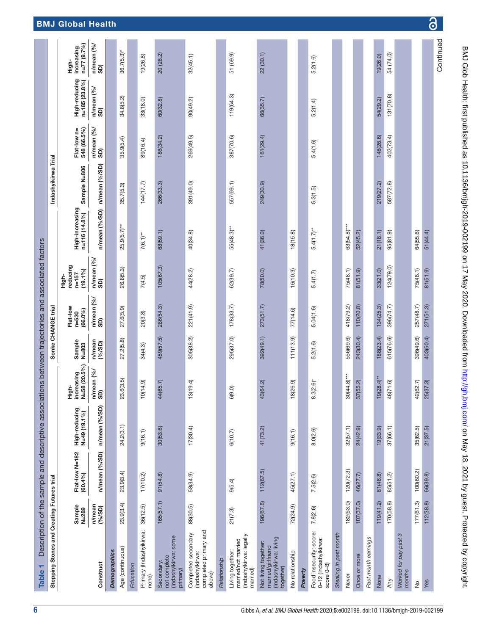<span id="page-5-0"></span>

| ٣<br><b>Table</b>                                                                 |                   | Description of the sample and descriptive associations between trajectories and associated factors |                                 |                                     |                    |                                     |                                              |                                  |                     |                            |                                    |                                    |
|-----------------------------------------------------------------------------------|-------------------|----------------------------------------------------------------------------------------------------|---------------------------------|-------------------------------------|--------------------|-------------------------------------|----------------------------------------------|----------------------------------|---------------------|----------------------------|------------------------------------|------------------------------------|
| Stepping Stones and Creating Futures trial                                        |                   |                                                                                                    |                                 |                                     | Sonke CHANGE trial |                                     |                                              |                                  | Indashyikirwa Trial |                            |                                    |                                    |
|                                                                                   | Sample<br>N=289   | Flat-low N=182<br>(60.4%)                                                                          | High-reducing<br>$N=49(19.1\%)$ | increasing<br>N=58 (20.5%)<br>High- | Sample<br>N=803    | Flat-low<br>$(66.0\%)$<br>$n = 530$ | reducing<br>$(19.1\%)$<br>$n = 157$<br>High- | High-increasing<br>n=116 (14.8%) | Sample N=806        | 548 (66.5%)<br>Flat-low n= | High-reducing<br>$n = 185 (23.8%)$ | increasing<br>n=77 (9.7%)<br>High- |
| Construct                                                                         | n/mean<br>(96/SD) | n/mean (%/SD)                                                                                      | n/mean (%/SD)                   | $n/m$ ean (%/<br>බූ                 | $n/m$ ean<br>(9/8) | n/mean (%/<br>SD)                   | n/mean (%<br>6D                              | n/mean (%/SD)                    | n/mean (%/SD)       | n/mean (%/<br>SD)          | n/mean (%/<br>SD)                  | n/mean (%/<br>SD)                  |
| <b>Demographics</b>                                                               |                   |                                                                                                    |                                 |                                     |                    |                                     |                                              |                                  |                     |                            |                                    |                                    |
| Age (continuous)                                                                  | 23.9(3.4)         | 23.9(3.4)                                                                                          | 24.2(3.1)                       | 23.6(3.5)                           | 27.2(5.8)          | 27.6(5.9)                           | 26.8(5.3)                                    | $25.9(5.7)$ **                   | 35.7(5.3)           | 35.9(5.4)                  | 34.8(5.2)                          | $36.7(5.3)$ *                      |
| Education                                                                         |                   |                                                                                                    |                                 |                                     |                    |                                     |                                              |                                  |                     |                            |                                    |                                    |
| Primary (Indashyikirwa:<br>none)                                                  | 36(12.5)          | 17(10.2)                                                                                           | 9(16.1)                         | 10(14.9)                            | 34(4.3)            | 20(3.8)                             | 7(4.5)                                       | $7(6.1)$ **                      | 144(17.7)           | 89(16.4)                   | 33(18.0)                           | 19(26.8)                           |
| (Indashyikirwa: some<br>not complete<br>Secondary:<br>primary)                    | 165(57.1)         | 91(54.8)                                                                                           | 30(53.6)                        | 44(65.7)                            | 459(57.5)          | 286(54.3)                           | 105(67.3)                                    | 68(59.1)                         | 266(33.3)           | 186(34.2)                  | 60(32.8)                           | 20 (28.2)                          |
| completed primary and<br>Completed secondary<br>(Indashyikirwa:<br>above)         | 88(30.5)          | 58(34.9)                                                                                           | 17(30.4)                        | 13(19.4)                            | 305(38.2)          | 221(41.9)                           | 44(28.2)                                     | 40(34.8)                         | 391(49.0)           | 269(49.5)                  | 90(49.2)                           | 32(45.1)                           |
| Relationship                                                                      |                   |                                                                                                    |                                 |                                     |                    |                                     |                                              |                                  |                     |                            |                                    |                                    |
| (Indashyikirwa: legally<br>married/not married<br>Living together:<br>married)    | 21(7.3)           | 9(5.4)                                                                                             | 6(10.7)                         | 6(9.0)                              | 295(37.0)          | 178(33.7)                           | 62(39.7)                                     | $55(48.3)$ **                    | 557(69.1)           | 387(70.6)                  | 119(64.3)                          | 51 (69.9)                          |
| (Indashyikirwa: living<br>Not living together:<br>married/girlfriend<br>together) | 196(67.8)         | 112(67.5)                                                                                          | 41(73.2)                        | 43(64.2)                            | 392(49.1)          | 273(51.7)                           | 78(50.0)                                     | 41(36.0)                         | 249(30.9)           | 161(29.4)                  | 66(35.7)                           | 22(30.1)                           |
| No relationship                                                                   | 72(24.9)          | 45(27.1)                                                                                           | 9(16.1)                         | 18(26.9)                            | 111(13.9)          | 77(14.6)                            | 16(10.3)                                     | 18(15.8)                         |                     |                            |                                    |                                    |
| Poverty                                                                           |                   |                                                                                                    |                                 |                                     |                    |                                     |                                              |                                  |                     |                            |                                    |                                    |
| Food insecurity: score:<br>0-12 (Indashyikirwa:<br>score $0-8$ )                  | 7.8(2.6)          | 7.5(2.6)                                                                                           | 8.0(2.6)                        | $8.3(2.6)$ *                        | 5.2(1.6)           | 5.04(1.6)                           | 5.4(1.7)                                     | $5.4(1.7)$ **                    | 5.3(1.5)            | 5.4(1.6)                   | 5.2(1.4)                           | 5.2(1.6)                           |
| Stealing in past month                                                            |                   |                                                                                                    |                                 |                                     |                    |                                     |                                              |                                  |                     |                            |                                    |                                    |
| Never                                                                             | 182(63.0)         | 120(72.3)                                                                                          | 32(57.1)                        | $30(44.8)***$                       | 556(69.6)          | 418(79.2)                           | 75(48.1)                                     | $63(54.8)$ ***                   |                     |                            |                                    |                                    |
| Once or more                                                                      | 107(37.0)         | 46(27.7)                                                                                           | 24(42.9)                        | 37(55.2)                            | 243(30.4)          | 110(20.8)                           | 81(51.9)                                     | 52(45.2)                         |                     |                            |                                    |                                    |
| Past month earnings                                                               |                   |                                                                                                    |                                 |                                     |                    |                                     |                                              |                                  |                     |                            |                                    |                                    |
| None                                                                              | 119(41.2)         | 81(48.8)                                                                                           | 19(33.9)                        | $19(28.4)$ **                       | 188(23.4)          | 134(25.3)                           | 33(21.0)                                     | 21(18.1)                         | 219(27.2)           | 146(26.6)                  | 54(29.2)                           | 19(26.0)                           |
| Any                                                                               | 170(58.8)         | 85(51.2)                                                                                           | 37(66.1)                        | 48(71.6)                            | 615(76.6)          | 396(74.7)                           | 124(79.0)                                    | 95(81.9)                         | 587(72.8)           | 402(73.4)                  | 131(70.8)                          | 54 (74.0)                          |
| S<br>Worked for pay past<br>months                                                |                   |                                                                                                    |                                 |                                     |                    |                                     |                                              |                                  |                     |                            |                                    |                                    |
| $\frac{1}{2}$                                                                     | 177(61.3)         | 100(60.2)                                                                                          | 35(62.5)                        | 42(62.7)                            | 396(49.6)          | 257(48.7)                           | 75(48.1)                                     | 64(55.6)                         |                     |                            |                                    |                                    |
| Yes                                                                               | 112(38.8)         | 66(39.8)                                                                                           | 21(37.5)                        | 25(37.3)                            | 403(50.4)          | 271(51.3)                           | 81(51.9)                                     | 51(44.4)                         |                     |                            |                                    |                                    |
|                                                                                   |                   |                                                                                                    |                                 |                                     |                    |                                     |                                              |                                  |                     |                            |                                    | Continued                          |

෬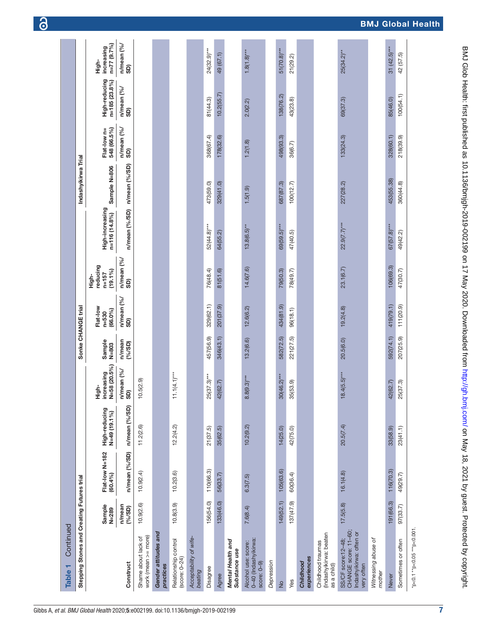| Continued<br>٣<br><b>Table</b>                                                       |                     |                           |                                 |                                     |                     |                                     |                                              |                                  |                     |                            |                                |                                        |
|--------------------------------------------------------------------------------------|---------------------|---------------------------|---------------------------------|-------------------------------------|---------------------|-------------------------------------|----------------------------------------------|----------------------------------|---------------------|----------------------------|--------------------------------|----------------------------------------|
| Stepping Stones and Creating Futures trial                                           |                     |                           |                                 |                                     | Sonke CHANGE trial  |                                     |                                              |                                  | Indashyikirwa Trial |                            |                                |                                        |
|                                                                                      | Sample<br>$N = 289$ | Flat-low N=182<br>(60.4%) | High-reducing<br>$N=49(19.1\%)$ | N=58 (20.5%)<br>High-<br>increasing | Sample<br>$N = 803$ | Flat-low<br>$(66.0\%)$<br>$n = 530$ | reducing<br>$(19.1\%)$<br>$n = 157$<br>High- | High-increasing<br>n=116 (14.8%) | Sample N=806        | 548 (66.5%)<br>Flat-low n= | High-reducing<br>n=185 (23.8%) | $n = 77 (9.7%)$<br>increasing<br>High- |
| Construct                                                                            | n/mean<br>(9/65D)   | n/mean (%/SD)             | n/mean (%/SD)                   | n/mean (%/ $SD$ )                   | n/mean<br>(9/6)     | n/mean (%/<br>SD)                   | n/mean (%/<br>SD)                            | n/mean (%/SD)                    | n/mean (%/SD)       | n/mean (%/<br>SD)          | n/mean (%/<br><b>GS</b>        | n/mean (%/<br>SD)                      |
| work (mean >= more)<br>Shame about lack of                                           | 10.9(2.6)           | 10.9(2.4)                 | 11.2(2.6)                       | 10.5(2.9)                           |                     |                                     |                                              |                                  |                     |                            |                                |                                        |
| Gender attitudes and<br>practices                                                    |                     |                           |                                 |                                     |                     |                                     |                                              |                                  |                     |                            |                                |                                        |
| Relationship control<br>(score: 0–24)                                                | 10.8(3.9)           | 10.2(3.6)                 | 12.2(4.2)                       | $1.1(4.1)***$<br>Ξ                  |                     |                                     |                                              |                                  |                     |                            |                                |                                        |
| Acceptability of wife-<br>beating                                                    |                     |                           |                                 |                                     |                     |                                     |                                              |                                  |                     |                            |                                |                                        |
| Disagree                                                                             | 156(54.0)           | 110(66.3)                 | 21(37.5)                        | $25(37.3)***$                       | 457(56.9)           | 329(62.1)                           | 76(48.4)                                     | 52(44.8)***                      | 473(59.0)           | 368(67.4)                  | 81(44.3)                       | $24(32.9)***$                          |
| Agree                                                                                | 133(46.0)           | 56(33.7)                  | 35(62.5)                        | 42(62.7)                            | 346(43.1)           | 201(37.9)                           | 81(51.6)                                     | 64(55.2)                         | 329(41.0)           | 178(32.6)                  | 10.2(55.7)                     | 49 (67.1)                              |
| Mental Health and<br>Substance use                                                   |                     |                           |                                 |                                     |                     |                                     |                                              |                                  |                     |                            |                                |                                        |
| 0-40 (Indashyikirwa:<br>Alcohol use: score:<br>score: 0-9)                           | 7.6(8.4)            | 6.3(7.5)                  | 10.2(9.2)                       | $8.8(9.3)$ ***                      | 13.2(6.6)           | 12.6(6.2)                           | 14.6(7.6)                                    | $13.8(6.5)$ **                   | 1.5(1.9)            | 1.2(1.8)                   | 2.0(2.2)                       | $1.8(1.8)***$                          |
| Depression                                                                           |                     |                           |                                 |                                     |                     |                                     |                                              |                                  |                     |                            |                                |                                        |
| $\frac{1}{2}$                                                                        | 149(52.1)           | 105(63.6)                 | 14(25.0)                        | $30(46.2)***$                       | 582(72.5)           | 434(81.9)                           | 79(50.3)                                     | $69(59.5)***$                    | 687(87.3)           | 498(93.3)                  | 138(76.2)                      | $51(70.8)***$                          |
| Yes                                                                                  | 137(47.9)           | 60(36.4)                  | 42 (75.0)                       | 35(53.9)                            | 221(27.5)           | 96(18.1)                            | 78(49.7)                                     | 47(40.5)                         | 100(12.7)           | 36(6.7)                    | 43(23.8)                       | 21(29.2)                               |
| experiences<br>Childhood                                                             |                     |                           |                                 |                                     |                     |                                     |                                              |                                  |                     |                            |                                |                                        |
| (Indashyikirwa: beaten<br>Childhood traumas<br>as a child)                           |                     |                           |                                 |                                     |                     |                                     |                                              |                                  |                     |                            |                                |                                        |
| CHANGE score: 11-60;<br>Indashyikirwa: often or<br>SS/CF score: 12-48;<br>very often | 17.5(5.8)           | 16.1(4.8)                 | 20.5(7.4)                       | $18.4(5.5)***$                      | 20.5(6.0)           | 19.2(4.8)                           | 23.1(6.7)                                    | $22.9(7.7)***$                   | 227(28.2)           | 133(24.3)                  | 69(37.3)                       | $25(34.2)$ **                          |
| Witnessing abuse of<br>mother                                                        |                     |                           |                                 |                                     |                     |                                     |                                              |                                  |                     |                            |                                |                                        |
| Never                                                                                | 191 (66.3)          | 116(70.3)                 | 33(58.9)                        | 42(62.7)                            | 592(74.1)           | 419(79.1)                           | 106(69.3)                                    | $67(57.8)$ ***                   | 453(55.38)          | 328(60.1)                  | 85(46.0)                       | $31(42.5)***$                          |
| Sometimes or often                                                                   | 97(33.7)            | 49(29.7)                  | 23(41.1)                        | 25(37.3)                            | 207(25.9)           | 111(20.9)                           | 47(30.7)                                     | 49(42.2)                         | 360(44.8)           | 218(39.9)                  | 100(54.1)                      | 42 (57.5)                              |
| *p<0.1 **p<0.05 ***p<0.001                                                           |                     |                           |                                 |                                     |                     |                                     |                                              |                                  |                     |                            |                                |                                        |

6

7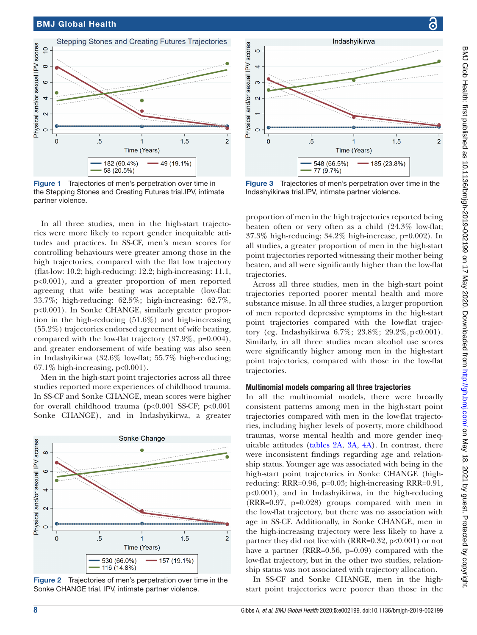

<span id="page-7-0"></span>Figure 1 Trajectories of men's perpetration over time in the Stepping Stones and Creating Futures trial.IPV, intimate partner violence.

In all three studies, men in the high-start trajectories were more likely to report gender inequitable attitudes and practices. In SS-CF, men's mean scores for controlling behaviours were greater among those in the high trajectories, compared with the flat low trajectory (flat-low: 10.2; high-reducing: 12.2; high-increasing: 11.1, p<0.001), and a greater proportion of men reported agreeing that wife beating was acceptable (low-flat: 33.7%; high-reducing: 62.5%; high-increasing: 62.7%, p<0.001). In Sonke CHANGE, similarly greater proportion in the high-reducing (51.6%) and high-increasing (55.2%) trajectories endorsed agreement of wife beating, compared with the low-flat trajectory (37.9%, p=0.004), and greater endorsement of wife beating was also seen in Indashyikirwa (32.6% low-flat; 55.7% high-reducing;  $67.1\%$  high-increasing,  $p<0.001$ ).

Men in the high-start point trajectories across all three studies reported more experiences of childhood trauma. In SS-CF and Sonke CHANGE, mean scores were higher for overall childhood trauma (p<0.001 SS-CF; p<0.001 Sonke CHANGE), and in Indashyikirwa, a greater



<span id="page-7-1"></span>Figure 2 Trajectories of men's perpetration over time in the Sonke CHANGE trial. IPV, intimate partner violence.



<span id="page-7-2"></span>Figure 3 Trajectories of men's perpetration over time in the Indashyikirwa trial.IPV, intimate partner violence.

proportion of men in the high trajectories reported being beaten often or very often as a child (24.3% low-flat; 37.3% high-reducing; 34.2% high-increase, p=0.002). In all studies, a greater proportion of men in the high-start point trajectories reported witnessing their mother being beaten, and all were significantly higher than the low-flat trajectories.

Across all three studies, men in the high-start point trajectories reported poorer mental health and more substance misuse. In all three studies, a larger proportion of men reported depressive symptoms in the high-start point trajectories compared with the low-flat trajectory (eg, Indashyikirwa 6.7%; 23.8%; 29.2%,p<0.001). Similarly, in all three studies mean alcohol use scores were significantly higher among men in the high-start point trajectories, compared with those in the low-flat trajectories.

# Multinomial models comparing all three trajectories

In all the multinomial models, there were broadly consistent patterns among men in the high-start point trajectories compared with men in the low-flat trajectories, including higher levels of poverty, more childhood traumas, worse mental health and more gender inequitable attitudes ([tables](#page-9-0) 2A, [3A,](#page-10-0) [4A](#page-11-0)). In contrast, there were inconsistent findings regarding age and relationship status. Younger age was associated with being in the high-start point trajectories in Sonke CHANGE (highreducing: RRR=0.96, p=0.03; high-increasing RRR=0.91, p<0.001), and in Indashyikirwa, in the high-reducing (RRR=0.97, p=0.028) groups compared with men in the low-flat trajectory, but there was no association with age in SS-CF. Additionally, in Sonke CHANGE, men in the high-increasing trajectory were less likely to have a partner they did not live with (RRR=0.32, p<0.001) or not have a partner (RRR=0.56, p=0.09) compared with the low-flat trajectory, but in the other two studies, relationship status was not associated with trajectory allocation.

In SS-CF and Sonke CHANGE, men in the highstart point trajectories were poorer than those in the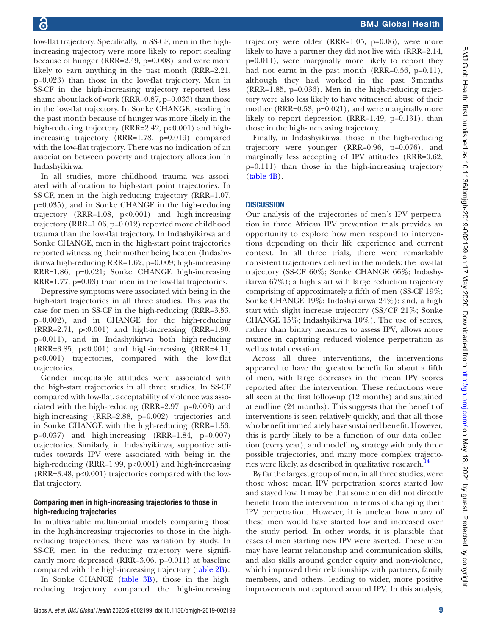low-flat trajectory. Specifically, in SS-CF, men in the highincreasing trajectory were more likely to report stealing because of hunger (RRR=2.49, p=0.008), and were more likely to earn anything in the past month (RRR=2.21, p=0.023) than those in the low-flat trajectory. Men in SS-CF in the high-increasing trajectory reported less shame about lack of work (RRR=0.87, p=0.033) than those in the low-flat trajectory. In Sonke CHANGE, stealing in the past month because of hunger was more likely in the high-reducing trajectory (RRR=2.42,  $p<0.001$ ) and highincreasing trajectory (RRR=1.78, p=0.019) compared with the low-flat trajectory. There was no indication of an association between poverty and trajectory allocation in Indashyikirwa.

In all studies, more childhood trauma was associated with allocation to high-start point trajectories. In SS-CF, men in the high-reducing trajectory (RRR=1.07, p=0.035), and in Sonke CHANGE in the high-reducing trajectory (RRR=1.08, p<0.001) and high-increasing trajectory (RRR=1.06, p=0.012) reported more childhood trauma than the low-flat trajectory. In Indashyikirwa and Sonke CHANGE, men in the high-start point trajectories reported witnessing their mother being beaten (Indashyikirwa high-reducing RRR=1.62, p=0.009; high-increasing RRR=1.86, p=0.021; Sonke CHANGE high-increasing RRR=1.77, p=0.03) than men in the low-flat trajectories.

Depressive symptoms were associated with being in the high-start trajectories in all three studies. This was the case for men in SS-CF in the high-reducing (RRR=3.53, p=0.002), and in CHANGE for the high-reducing  $(RRR=2.71, p<0.001)$  and high-increasing  $(RRR=1.90, p<sub>0.001</sub>)$ p=0.011), and in Indashyikirwa both high-reducing  $(RRR=3.85, p<0.001)$  and high-increasing  $(RRR=4.11, p<sub>0.001</sub>)$ p<0.001) trajectories, compared with the low-flat trajectories.

Gender inequitable attitudes were associated with the high-start trajectories in all three studies. In SS-CF compared with low-flat, acceptability of violence was associated with the high-reducing (RRR=2.97, p=0.003) and high-increasing (RRR=2.88, p=0.002) trajectories and in Sonke CHANGE with the high-reducing (RRR=1.53,  $p=0.037$ ) and high-increasing (RRR=1.84,  $p=0.007$ ) trajectories. Similarly, in Indashyikirwa, supportive attitudes towards IPV were associated with being in the high-reducing (RRR=1.99, p<0.001) and high-increasing (RRR=3.48, p<0.001) trajectories compared with the lowflat trajectory.

# Comparing men in high-increasing trajectories to those in high-reducing trajectories

In multivariable multinomial models comparing those in the high-increasing trajectories to those in the highreducing trajectories, there was variation by study. In SS-CF, men in the reducing trajectory were significantly more depressed (RRR=3.06, p=0.011) at baseline compared with the high-increasing trajectory ([table](#page-9-1) 2B).

In Sonke CHANGE ([table](#page-10-1) 3B), those in the highreducing trajectory compared the high-increasing

trajectory were older (RRR=1.05, p=0.06), were more likely to have a partner they did not live with (RRR=2.14, p=0.011), were marginally more likely to report they had not earnt in the past month (RRR=0.56, p=0.11), although they had worked in the past 3months (RRR=1.85, p=0.036). Men in the high-reducing trajectory were also less likely to have witnessed abuse of their mother (RRR=0.53, p=0.021), and were marginally more likely to report depression (RRR=1.49, p=0.131), than those in the high-increasing trajectory.

Finally, in Indashyikirwa, those in the high-reducing trajectory were younger (RRR=0.96, p=0.076), and marginally less accepting of IPV attitudes (RRR=0.62, p=0.111) than those in the high-increasing trajectory [\(table](#page-11-1) 4B).

# **DISCUSSION**

Our analysis of the trajectories of men's IPV perpetration in three African IPV prevention trials provides an opportunity to explore how men respond to interventions depending on their life experience and current context. In all three trials, there were remarkably consistent trajectories defined in the models: the low-flat trajectory (SS-CF 60%; Sonke CHANGE 66%; Indashyikirwa 67%); a high start with large reduction trajectory comprising of approximately a fifth of men (SS-CF 19%; Sonke CHANGE 19%; Indashyikirwa 24%); and, a high start with slight increase trajectory (SS/CF 21%; Sonke CHANGE 15%; Indashyikirwa 10%). The use of scores, rather than binary measures to assess IPV, allows more nuance in capturing reduced violence perpetration as well as total cessation.

Across all three interventions, the interventions appeared to have the greatest benefit for about a fifth of men, with large decreases in the mean IPV scores reported after the intervention. These reductions were all seen at the first follow-up (12 months) and sustained at endline (24 months). This suggests that the benefit of interventions is seen relatively quickly, and that all those who benefit immediately have sustained benefit. However, this is partly likely to be a function of our data collection (every year), and modelling strategy with only three possible trajectories, and many more complex trajecto-ries were likely, as described in qualitative research.<sup>[14](#page-13-4)</sup>

By far the largest group of men, in all three studies, were those whose mean IPV perpetration scores started low and stayed low. It may be that some men did not directly benefit from the intervention in terms of changing their IPV perpetration. However, it is unclear how many of these men would have started low and increased over the study period. In other words, it is plausible that cases of men starting new IPV were averted. These men may have learnt relationship and communication skills, and also skills around gender equity and non-violence, which improved their relationships with partners, family members, and others, leading to wider, more positive improvements not captured around IPV. In this analysis,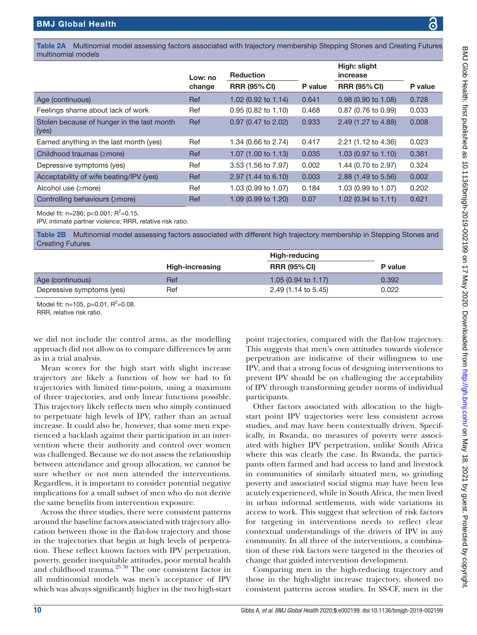<span id="page-9-0"></span>Table 2A Multinomial model assessing factors associated with trajectory membership Stepping Stones and Creating Futures multinomial models

|                                                     | Low: no    | <b>Reduction</b>              |         | High: slight<br>increase |         |
|-----------------------------------------------------|------------|-------------------------------|---------|--------------------------|---------|
|                                                     | change     | <b>RRR (95% CI)</b>           | P value | <b>RRR (95% CI)</b>      | P value |
| Age (continuous)                                    | <b>Ref</b> | 1.02 (0.92 to $1.14$ )        | 0.641   | $0.98$ (0.90 to 1.08)    | 0.728   |
| Feelings shame about lack of work                   | Ref        | $0.95(0.82 \text{ to } 1.10)$ | 0.468   | 0.87 (0.76 to 0.99)      | 0.033   |
| Stolen because of hunger in the last month<br>(yes) | Ref        | 0.97 (0.47 to 2.02)           | 0.933   | 2.49 (1.27 to 4.88)      | 0.008   |
| Earned anything in the last month (yes)             | Ref        | 1.34 (0.66 to 2.74)           | 0.417   | 2.21 (1.12 to 4.36)      | 0.023   |
| Childhood traumas (≥more)                           | Ref        | 1.07 (1.00 to 1.13)           | 0.035   | 1.03 (0.97 to 1.10)      | 0.361   |
| Depressive symptoms (yes)                           | Ref        | 3.53 (1.56 to 7.97)           | 0.002   | 1.44 (0.70 to 2.97)      | 0.324   |
| Acceptability of wife beating/IPV (yes)             | Ref        | 2.97 (1.44 to 6.10)           | 0.003   | 2.88 (1.49 to 5.56)      | 0.002   |
| Alcohol use (≥more)                                 | Ref        | 1.03 (0.99 to 1.07)           | 0.184   | 1.03 (0.99 to 1.07)      | 0.202   |
| Controlling behaviours ( <i>imore</i> )             | Ref        | 1.09 (0.99 to 1.20)           | 0.07    | 1.02 (0.94 to 1.11)      | 0.621   |

Model fit: n=286; p<0.001;  $R^2$ =0.15.

IPV, intimate partner violence; RRR, relative risk ratio.

<span id="page-9-1"></span>Table 2B Multinomial model assessing factors associated with different high trajectory membership in Stepping Stones and Creating Futures

|                           |                 | High-reducing                 |         |
|---------------------------|-----------------|-------------------------------|---------|
|                           | High-increasing | <b>RRR (95% CI)</b>           | P value |
| Age (continuous)          | Ref             | $1.05(0.94 \text{ to } 1.17)$ | 0.392   |
| Depressive symptoms (yes) | Ref             | 2.49 (1.14 to 5.45)           | 0.022   |

Model fit:  $n=105$ ,  $p=0.01$ ,  $R^2=0.08$ .

RRR, relative risk ratio.

we did not include the control arms, as the modelling approach did not allow us to compare differences by arm as in a trial analysis.

Mean scores for the high start with slight increase trajectory are likely a function of how we had to fit trajectories with limited time-points, using a maximum of three trajectories, and only linear functions possible. This trajectory likely reflects men who simply continued to perpetuate high levels of IPV, rather than an actual increase. It could also be, however, that some men experienced a backlash against their participation in an intervention where their authority and control over women was challenged. Because we do not assess the relationship between attendance and group allocation, we cannot be sure whether or not men attended the interventions. Regardless, it is important to consider potential negative implications for a small subset of men who do not derive the same benefits from intervention exposure.

Across the three studies, there were consistent patterns around the baseline factors associated with trajectory allocation between those in the flat-low trajectory and those in the trajectories that begin at high levels of perpetration. These reflect known factors with IPV perpetration, poverty, gender inequitable attitudes, poor mental health and childhood trauma. $25\frac{30}{10}$  The one consistent factor in all multinomial models was men's acceptance of IPV which was always significantly higher in the two high-start

point trajectories, compared with the flat-low trajectory. This suggests that men's own attitudes towards violence perpetration are indicative of their willingness to use IPV, and that a strong focus of designing interventions to prevent IPV should be on challenging the acceptability of IPV through transforming gender norms of individual participants.

Other factors associated with allocation to the highstart point IPV trajectories were less consistent across studies, and may have been contextually driven. Specifically, in Rwanda, no measures of poverty were associated with higher IPV perpetration, unlike South Africa where this was clearly the case. In Rwanda, the participants often farmed and had access to land and livestock in communities of similarly situated men, so grinding poverty and associated social stigma may have been less acutely experienced, while in South Africa, the men lived in urban informal settlements, with wide variations in access to work. This suggest that selection of risk factors for targeting in interventions needs to reflect clear contextual understandings of the drivers of IPV in any community. In all three of the interventions, a combination of these risk factors were targeted in the theories of change that guided intervention development.

Comparing men in the high-reducing trajectory and those in the high-slight increase trajectory, showed no consistent patterns across studies. In SS-CF, men in the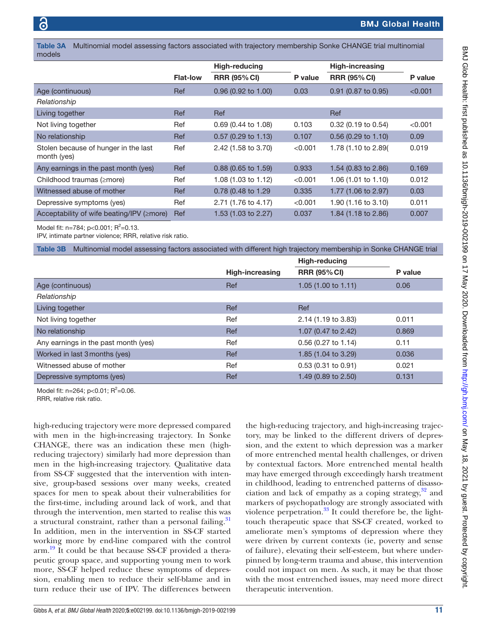<span id="page-10-0"></span>Table 3A Multinomial model assessing factors associated with trajectory membership Sonke CHANGE trial multinomial models

|                                                     |                 | High-reducing         |         | <b>High-increasing</b> |         |
|-----------------------------------------------------|-----------------|-----------------------|---------|------------------------|---------|
|                                                     | <b>Flat-low</b> | <b>RRR (95% CI)</b>   | P value | <b>RRR (95% CI)</b>    | P value |
| Age (continuous)                                    | Ref             | $0.96$ (0.92 to 1.00) | 0.03    | 0.91 (0.87 to 0.95)    | < 0.001 |
| Relationship                                        |                 |                       |         |                        |         |
| Living together                                     | Ref             | Ref                   |         | Ref                    |         |
| Not living together                                 | Ref             | 0.69 (0.44 to 1.08)   | 0.103   | 0.32 (0.19 to 0.54)    | < 0.001 |
| No relationship                                     | Ref             | $0.57$ (0.29 to 1.13) | 0.107   | $0.56$ (0.29 to 1.10)  | 0.09    |
| Stolen because of hunger in the last<br>month (yes) | Ref             | 2.42 (1.58 to 3.70)   | < 0.001 | 1.78 (1.10 to 2.89)    | 0.019   |
| Any earnings in the past month (yes)                | Ref             | $0.88$ (0.65 to 1.59) | 0.933   | 1.54 (0.83 to 2.86)    | 0.169   |
| Childhood traumas (≥more)                           | Ref             | 1.08 (1.03 to 1.12)   | < 0.001 | 1.06 (1.01 to 1.10)    | 0.012   |
| Witnessed abuse of mother                           | Ref             | 0.78 (0.48 to 1.29)   | 0.335   | 1.77 (1.06 to 2.97)    | 0.03    |
| Depressive symptoms (yes)                           | Ref             | 2.71 (1.76 to 4.17)   | < 0.001 | 1.90 (1.16 to 3.10)    | 0.011   |
| Acceptability of wife beating/IPV (≥more)           | Ref             | 1.53 (1.03 to 2.27)   | 0.037   | 1.84 (1.18 to 2.86)    | 0.007   |

Model fit:  $n=784$ ;  $p<0.001$ ;  $R^2=0.13$ .

IPV, intimate partner violence; RRR, relative risk ratio.

<span id="page-10-1"></span>Table 3B Multinomial model assessing factors associated with different high trajectory membership in Sonke CHANGE trial

|                                      |                 | <b>High-reducing</b>           |         |
|--------------------------------------|-----------------|--------------------------------|---------|
|                                      | High-increasing | <b>RRR (95% CI)</b>            | P value |
| Age (continuous)                     | Ref             | 1.05 $(1.00 \text{ to } 1.11)$ | 0.06    |
| Relationship                         |                 |                                |         |
| Living together                      | Ref             | Ref                            |         |
| Not living together                  | Ref             | 2.14 (1.19 to 3.83)            | 0.011   |
| No relationship                      | Ref             | 1.07 (0.47 to 2.42)            | 0.869   |
| Any earnings in the past month (yes) | Ref             | $0.56$ (0.27 to 1.14)          | 0.11    |
| Worked in last 3 months (yes)        | <b>Ref</b>      | 1.85 (1.04 to 3.29)            | 0.036   |
| Witnessed abuse of mother            | Ref             | 0.53 (0.31 to 0.91)            | 0.021   |
| Depressive symptoms (yes)            | Ref             | 1.49 (0.89 to 2.50)            | 0.131   |

Model fit:  $n=264$ ;  $p<0.01$ ;  $R^2=0.06$ .

RRR, relative risk ratio.

high-reducing trajectory were more depressed compared with men in the high-increasing trajectory. In Sonke CHANGE, there was an indication these men (highreducing trajectory) similarly had more depression than men in the high-increasing trajectory. Qualitative data from SS-CF suggested that the intervention with intensive, group-based sessions over many weeks, created spaces for men to speak about their vulnerabilities for the first-time, including around lack of work, and that through the intervention, men started to realise this was a structural constraint, rather than a personal failing.<sup>[31](#page-13-19)</sup> In addition, men in the intervention in SS-CF started working more by end-line compared with the control arm.<sup>19</sup> It could be that because SS-CF provided a therapeutic group space, and supporting young men to work more, SS-CF helped reduce these symptoms of depression, enabling men to reduce their self-blame and in turn reduce their use of IPV. The differences between

the high-reducing trajectory, and high-increasing trajectory, may be linked to the different drivers of depression, and the extent to which depression was a marker of more entrenched mental health challenges, or driven by contextual factors. More entrenched mental health may have emerged through exceedingly harsh treatment in childhood, leading to entrenched patterns of disassociation and lack of empathy as a coping strategy, $32$  and markers of psychopathology are strongly associated with violence perpetration. $33$  It could therefore be, the lighttouch therapeutic space that SS-CF created, worked to ameliorate men's symptoms of depression where they were driven by current contexts (ie, poverty and sense of failure), elevating their self-esteem, but where underpinned by long-term trauma and abuse, this intervention could not impact on men. As such, it may be that those with the most entrenched issues, may need more direct therapeutic intervention.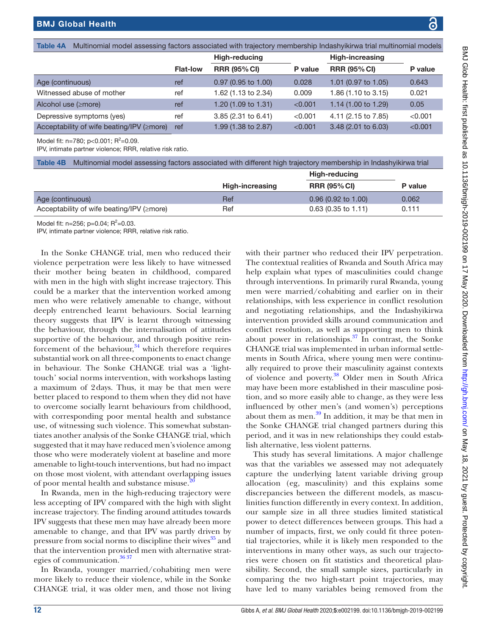<span id="page-11-0"></span>

| Multinomial model assessing factors associated with trajectory membership Indashyikirwa trial multinomial models<br><b>Table 4A</b> |                 |                       |         |                                |         |
|-------------------------------------------------------------------------------------------------------------------------------------|-----------------|-----------------------|---------|--------------------------------|---------|
|                                                                                                                                     |                 | <b>High-reducing</b>  |         | <b>High-increasing</b>         |         |
|                                                                                                                                     | <b>Flat-low</b> | <b>RRR (95% CI)</b>   | P value | <b>RRR (95% CI)</b>            | P value |
| Age (continuous)                                                                                                                    | ref             | $0.97$ (0.95 to 1.00) | 0.028   | 1.01 (0.97 to 1.05)            | 0.643   |
| Witnessed abuse of mother                                                                                                           | ref             | 1.62 (1.13 to 2.34)   | 0.009   | 1.86 (1.10 to 3.15)            | 0.021   |
| Alcohol use (≥more)                                                                                                                 | ref             | 1.20 (1.09 to 1.31)   | < 0.001 | 1.14 $(1.00 \text{ to } 1.29)$ | 0.05    |
| Depressive symptoms (yes)                                                                                                           | ref             | 3.85 (2.31 to 6.41)   | < 0.001 | 4.11 (2.15 to 7.85)            | < 0.001 |
| Acceptability of wife beating/IPV (≥more)                                                                                           | ref             | 1.99 (1.38 to 2.87)   | < 0.001 | 3.48 (2.01 to 6.03)            | < 0.001 |
|                                                                                                                                     |                 |                       |         |                                |         |

Model fit:  $n=780$ ;  $p<0.001$ ;  $R^2=0.09$ .

IPV, intimate partner violence; RRR, relative risk ratio.

<span id="page-11-1"></span>Table 4B Multinomial model assessing factors associated with different high trajectory membership in Indashyikirwa trial

|                                           |                 | High-reducing         |         |
|-------------------------------------------|-----------------|-----------------------|---------|
|                                           | High-increasing | <b>RRR (95% CI)</b>   | P value |
| Age (continuous)                          | Ref             | $0.96$ (0.92 to 1.00) | 0.062   |
| Acceptability of wife beating/IPV (≥more) | Ref             | $0.63$ (0.35 to 1.11) | 0.111   |

Model fit:  $n=256$ ;  $p=0.04$ ;  $R^2=0.03$ .

IPV, intimate partner violence; RRR, relative risk ratio.

In the Sonke CHANGE trial, men who reduced their violence perpetration were less likely to have witnessed their mother being beaten in childhood, compared with men in the high with slight increase trajectory. This could be a marker that the intervention worked among men who were relatively amenable to change, without deeply entrenched learnt behaviours. Social learning theory suggests that IPV is learnt through witnessing the behaviour, through the internalisation of attitudes supportive of the behaviour, and through positive reinforcement of the behaviour, $34$  which therefore requires substantial work on all three-components to enact change in behaviour. The Sonke CHANGE trial was a 'lighttouch' social norms intervention, with workshops lasting a maximum of 2days. Thus, it may be that men were better placed to respond to them when they did not have to overcome socially learnt behaviours from childhood, with corresponding poor mental health and substance use, of witnessing such violence. This somewhat substantiates another analysis of the Sonke CHANGE trial, which suggested that it may have reduced men's violence among those who were moderately violent at baseline and more amenable to light-touch interventions, but had no impact on those most violent, with attendant overlapping issues of poor mental health and substance misuse.<sup>2</sup>

In Rwanda, men in the high-reducing trajectory were less accepting of IPV compared with the high with slight increase trajectory. The finding around attitudes towards IPV suggests that these men may have already been more amenable to change, and that IPV was partly driven by pressure from social norms to discipline their wives<sup>35</sup> and that the intervention provided men with alternative strat-egies of communication.<sup>[36 37](#page-13-24)</sup>

In Rwanda, younger married/cohabiting men were more likely to reduce their violence, while in the Sonke CHANGE trial, it was older men, and those not living

with their partner who reduced their IPV perpetration. The contextual realities of Rwanda and South Africa may help explain what types of masculinities could change through interventions. In primarily rural Rwanda, young men were married/cohabiting and earlier on in their relationships, with less experience in conflict resolution and negotiating relationships, and the Indashyikirwa intervention provided skills around communication and conflict resolution, as well as supporting men to think about power in relationships. $37$  In contrast, the Sonke CHANGE trial was implemented in urban informal settlements in South Africa, where young men were continually required to prove their masculinity against contexts of violence and poverty.<sup>38</sup> Older men in South Africa may have been more established in their masculine position, and so more easily able to change, as they were less influenced by other men's (and women's) perceptions about them as men. $39$  In addition, it may be that men in the Sonke CHANGE trial changed partners during this period, and it was in new relationships they could establish alternative, less violent patterns.

This study has several limitations. A major challenge was that the variables we assessed may not adequately capture the underlying latent variable driving group allocation (eg, masculinity) and this explains some discrepancies between the different models, as masculinities function differently in every context. In addition, our sample size in all three studies limited statistical power to detect differences between groups. This had a number of impacts, first, we only could fit three potential trajectories, while it is likely men responded to the interventions in many other ways, as such our trajectories were chosen on fit statistics and theoretical plausibility. Second, the small sample sizes, particularly in comparing the two high-start point trajectories, may have led to many variables being removed from the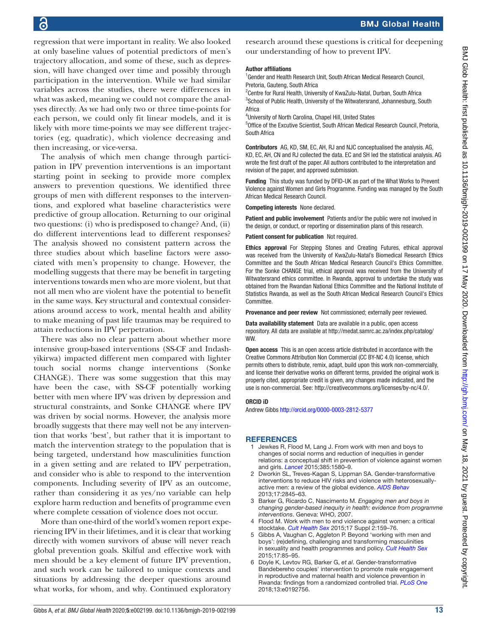regression that were important in reality. We also looked at only baseline values of potential predictors of men's trajectory allocation, and some of these, such as depression, will have changed over time and possibly through participation in the intervention. While we had similar variables across the studies, there were differences in what was asked, meaning we could not compare the analyses directly. As we had only two or three time-points for each person, we could only fit linear models, and it is likely with more time-points we may see different trajectories (eg, quadratic), which violence decreasing and then increasing, or vice-versa.

The analysis of which men change through participation in IPV prevention interventions is an important starting point in seeking to provide more complex answers to prevention questions. We identified three groups of men with different responses to the interventions, and explored what baseline characteristics were predictive of group allocation. Returning to our original two questions: (i) who is predisposed to change? And, (ii) do different interventions lead to different responses? The analysis showed no consistent pattern across the three studies about which baseline factors were associated with men's propensity to change. However, the modelling suggests that there may be benefit in targeting interventions towards men who are more violent, but that not all men who are violent have the potential to benefit in the same ways. Key structural and contextual considerations around access to work, mental health and ability to make meaning of past life traumas may be required to attain reductions in IPV perpetration.

There was also no clear pattern about whether more intensive group-based interventions (SS-CF and Indashyikirwa) impacted different men compared with lighter touch social norms change interventions (Sonke CHANGE). There was some suggestion that this may have been the case, with SS-CF potentially working better with men where IPV was driven by depression and structural constraints, and Sonke CHANGE where IPV was driven by social norms. However, the analysis more broadly suggests that there may well not be any intervention that works 'best', but rather that it is important to match the intervention strategy to the population that is being targeted, understand how masculinities function in a given setting and are related to IPV perpetration, and consider who is able to respond to the intervention components. Including severity of IPV as an outcome, rather than considering it as yes/no variable can help explore harm reduction and benefits of programme even where complete cessation of violence does not occur.

More than one-third of the world's women report experiencing IPV in their lifetimes, and it is clear that working directly with women survivors of abuse will never reach global prevention goals. Skilful and effective work with men should be a key element of future IPV prevention, and such work can be tailored to unique contexts and situations by addressing the deeper questions around what works, for whom, and why. Continued exploratory

research around these questions is critical for deepening our understanding of how to prevent IPV.

#### Author affiliations

<sup>1</sup>Gender and Health Research Unit, South African Medical Research Council, Pretoria, Gauteng, South Africa

<sup>2</sup> Centre for Rural Health, University of KwaZulu-Natal, Durban, South Africa <sup>3</sup>School of Public Health, University of the Witwatersrand, Johannesburg, South Africa

4 University of North Carolina, Chapel Hill, United States

5 Office of the Excutive Scientist, South African Medical Research Council, Pretoria, South Africa

Contributors AG, KD, SM, EC, AH, RJ and NJC conceptualised the analysis. AG, KD, EC, AH, CN and RJ collected the data. EC and SH led the statistical analysis. AG wrote the first draft of the paper. All authors contributed to the interpretation and revision of the paper, and approved submission.

Funding This study was funded by DFID-UK as part of the What Works to Prevent Violence against Women and Girls Programme. Funding was managed by the South African Medical Research Council.

Competing interests None declared.

**Patient and public involvement** Patients and/or the public were not involved in the design, or conduct, or reporting or dissemination plans of this research.

Patient consent for publication Not required.

Ethics approval For Stepping Stones and Creating Futures, ethical approval was received from the University of KwaZulu-Natal's Biomedical Research Ethics Committee and the South African Medical Research Council's Ethics Committee. For the Sonke CHANGE trial, ethical approval was received from the University of Witwatersrand ethics committee. In Rwanda, approval to undertake the study was obtained from the Rwandan National Ethics Committee and the National Institute of Statistics Rwanda, as well as the South African Medical Research Council's Ethics **Committee** 

Provenance and peer review Not commissioned; externally peer reviewed.

Data availability statement Data are available in a public, open access repository. All data are available at [http://medat.samrc.ac.za/index.php/catalog/](http://medat.samrc.ac.za/index.php/catalog/WW) [WW.](http://medat.samrc.ac.za/index.php/catalog/WW)

Open access This is an open access article distributed in accordance with the Creative Commons Attribution Non Commercial (CC BY-NC 4.0) license, which permits others to distribute, remix, adapt, build upon this work non-commercially, and license their derivative works on different terms, provided the original work is properly cited, appropriate credit is given, any changes made indicated, and the use is non-commercial. See:<http://creativecommons.org/licenses/by-nc/4.0/>.

#### ORCID iD

Andrew Gibbs <http://orcid.org/0000-0003-2812-5377>

#### **REFERENCES**

- <span id="page-12-0"></span>1 Jewkes R, Flood M, Lang J. From work with men and boys to changes of social norms and reduction of inequities in gender relations: a conceptual shift in prevention of violence against women and girls. *[Lancet](http://dx.doi.org/10.1016/S0140-6736(14)61683-4)* 2015;385:1580–9.
- 2 Dworkin SL, Treves-Kagan S, Lippman SA. Gender-transformative interventions to reduce HIV risks and violence with heterosexuallyactive men: a review of the global evidence. *[AIDS Behav](http://dx.doi.org/10.1007/s10461-013-0565-2)* 2013;17:2845–63.
- 3 Barker G, Ricardo C, Nascimento M. *Engaging men and boys in changing gender-based inequity in health: evidence from programme interventions*. Geneva: WHO, 2007.
- 4 Flood M. Work with men to end violence against women: a critical stocktake. *[Cult Health Sex](http://dx.doi.org/10.1080/13691058.2015.1070435)* 2015;17 Suppl 2:159–76.
- 5 Gibbs A, Vaughan C, Aggleton P. Beyond 'working with men and boys': (re)defining, challenging and transforming masculinities in sexuality and health programmes and policy. *[Cult Health Sex](http://dx.doi.org/10.1080/13691058.2015.1092260)* 2015;17:85–95.
- <span id="page-12-1"></span>6 Doyle K, Levtov RG, Barker G, *et al*. Gender-transformative Bandebereho couples' intervention to promote male engagement in reproductive and maternal health and violence prevention in Rwanda: findings from a randomized controlled trial. *[PLoS One](http://dx.doi.org/10.1371/journal.pone.0192756)* 2018;13:e0192756.